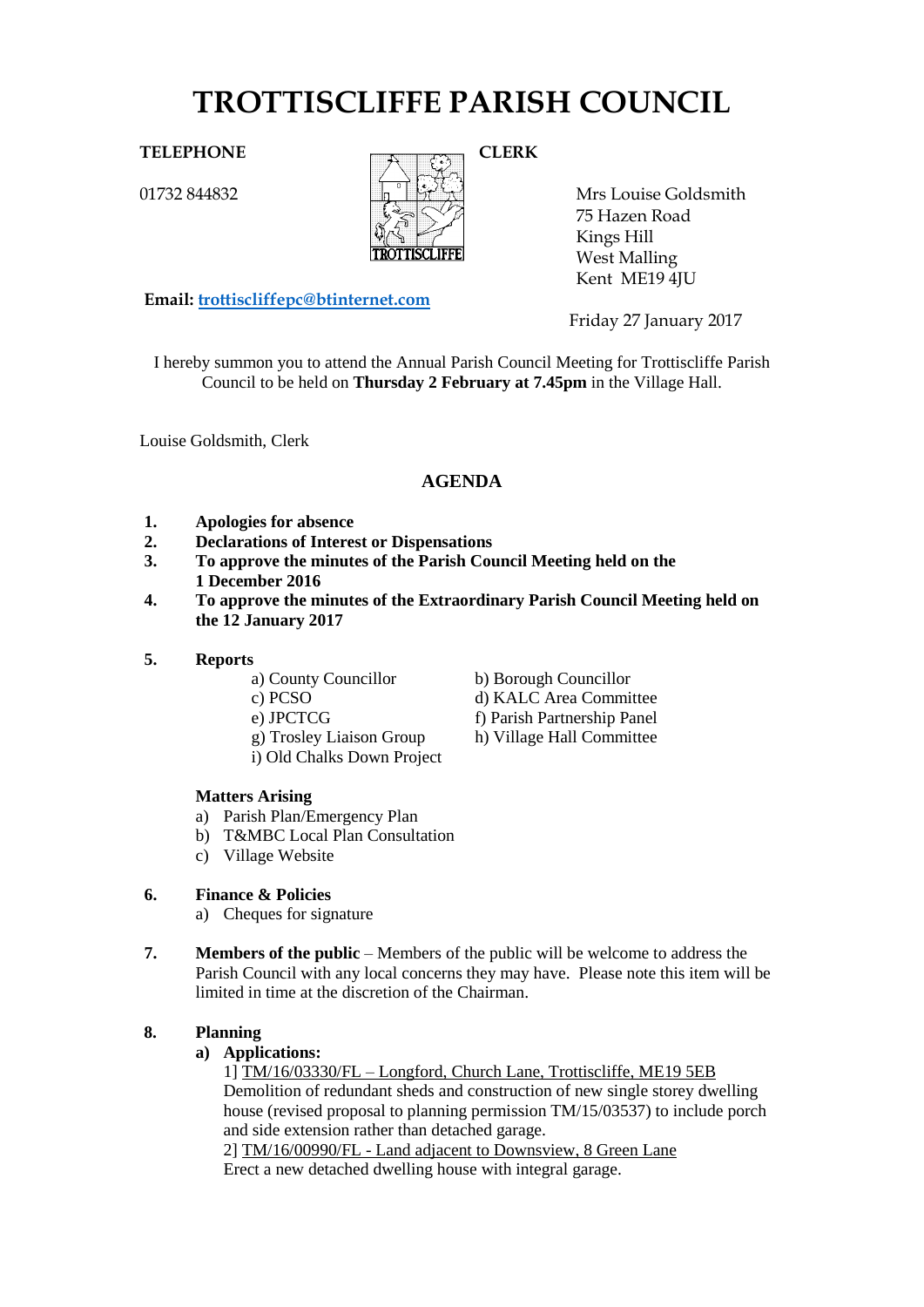# **TROTTISCLIFFE PARISH COUNCIL**

# TELEPHONE CLERK

01732 844832



Mrs Louise Goldsmith 75 Hazen Road Kings Hill West Malling Kent ME19 4JU

**Email: [trottiscliffepc@btinternet.com](mailto:trottiscliffepc@btinternet.com)**

Friday 27 January 2017

I hereby summon you to attend the Annual Parish Council Meeting for Trottiscliffe Parish Council to be held on **Thursday 2 February at 7.45pm** in the Village Hall.

Louise Goldsmith, Clerk

# **AGENDA**

- **1. Apologies for absence**
- **2. Declarations of Interest or Dispensations**
- **3. To approve the minutes of the Parish Council Meeting held on the 1 December 2016**
- **4. To approve the minutes of the Extraordinary Parish Council Meeting held on the 12 January 2017**
- **5. Reports**
	- a) County Councillor b) Borough Councillor
	- c) PCSO d) KALC Area Committee
	- e) JPCTCG f) Parish Partnership Panel
	- g) Trosley Liaison Group h) Village Hall Committee
	- i) Old Chalks Down Project
	- **Matters Arising**
	- a) Parish Plan/Emergency Plan
	- b) T&MBC Local Plan Consultation
	- c) Village Website

# **6. Finance & Policies**

- a) Cheques for signature
- **7. Members of the public** Members of the public will be welcome to address the Parish Council with any local concerns they may have. Please note this item will be limited in time at the discretion of the Chairman.

# **8. Planning**

# **a) Applications:**

1] TM/16/03330/FL – Longford, Church Lane, Trottiscliffe, ME19 5EB Demolition of redundant sheds and construction of new single storey dwelling house (revised proposal to planning permission TM/15/03537) to include porch and side extension rather than detached garage.

2] TM/16/00990/FL - Land adjacent to Downsview, 8 Green Lane Erect a new detached dwelling house with integral garage.